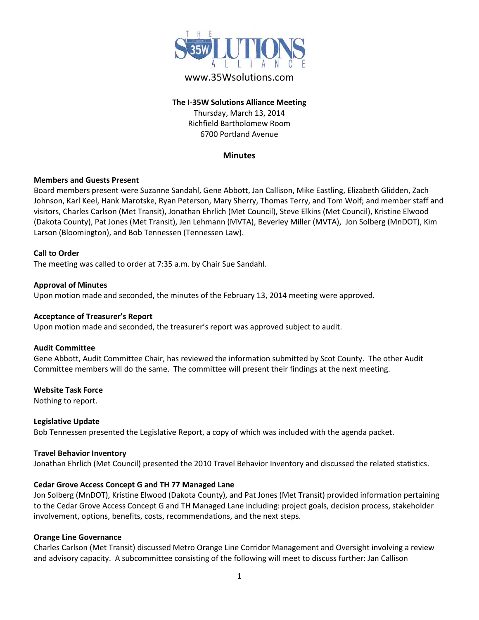

# www.35Wsolutions.com

### **The I-35W Solutions Alliance Meeting** Thursday, March 13, 2014 Richfield Bartholomew Room 6700 Portland Avenue

### **Minutes**

### **Members and Guests Present**

Board members present were Suzanne Sandahl, Gene Abbott, Jan Callison, Mike Eastling, Elizabeth Glidden, Zach Johnson, Karl Keel, Hank Marotske, Ryan Peterson, Mary Sherry, Thomas Terry, and Tom Wolf; and member staff and visitors, Charles Carlson (Met Transit), Jonathan Ehrlich (Met Council), Steve Elkins (Met Council), Kristine Elwood (Dakota County), Pat Jones (Met Transit), Jen Lehmann (MVTA), Beverley Miller (MVTA), Jon Solberg (MnDOT), Kim Larson (Bloomington), and Bob Tennessen (Tennessen Law).

#### **Call to Order**

The meeting was called to order at 7:35 a.m. by Chair Sue Sandahl.

### **Approval of Minutes**

Upon motion made and seconded, the minutes of the February 13, 2014 meeting were approved.

#### **Acceptance of Treasurer's Report**

Upon motion made and seconded, the treasurer's report was approved subject to audit.

#### **Audit Committee**

Gene Abbott, Audit Committee Chair, has reviewed the information submitted by Scot County. The other Audit Committee members will do the same. The committee will present their findings at the next meeting.

#### **Website Task Force**

Nothing to report.

#### **Legislative Update**

Bob Tennessen presented the Legislative Report, a copy of which was included with the agenda packet.

#### **Travel Behavior Inventory**

Jonathan Ehrlich (Met Council) presented the 2010 Travel Behavior Inventory and discussed the related statistics.

### **Cedar Grove Access Concept G and TH 77 Managed Lane**

Jon Solberg (MnDOT), Kristine Elwood (Dakota County), and Pat Jones (Met Transit) provided information pertaining to the Cedar Grove Access Concept G and TH Managed Lane including: project goals, decision process, stakeholder involvement, options, benefits, costs, recommendations, and the next steps.

#### **Orange Line Governance**

Charles Carlson (Met Transit) discussed Metro Orange Line Corridor Management and Oversight involving a review and advisory capacity. A subcommittee consisting of the following will meet to discuss further: Jan Callison